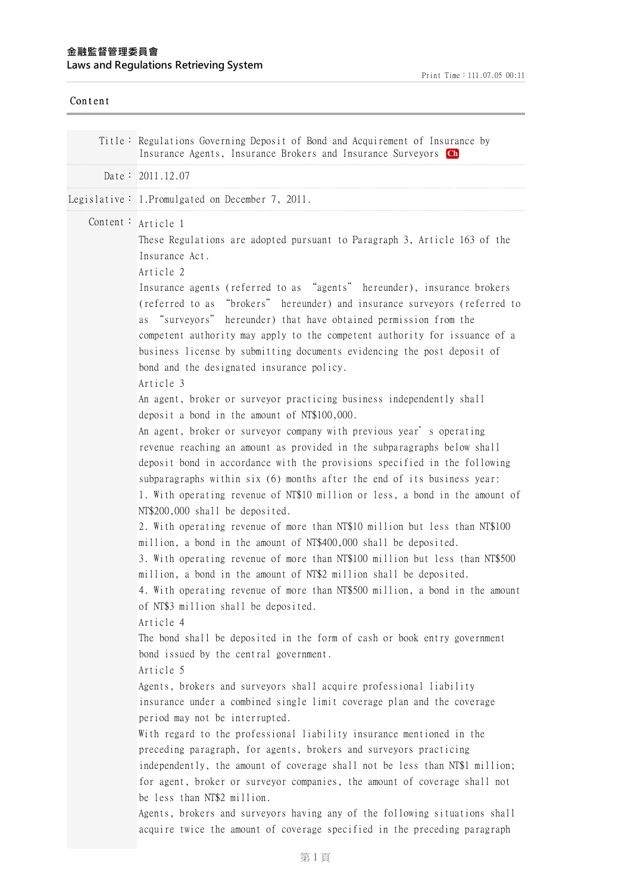| Content |                                                                                                                                                                                                                                                                                                                                                                                                                                                                                                                                                                                                                                                                                                                                                                                                                                                                                                                                                                                                 |
|---------|-------------------------------------------------------------------------------------------------------------------------------------------------------------------------------------------------------------------------------------------------------------------------------------------------------------------------------------------------------------------------------------------------------------------------------------------------------------------------------------------------------------------------------------------------------------------------------------------------------------------------------------------------------------------------------------------------------------------------------------------------------------------------------------------------------------------------------------------------------------------------------------------------------------------------------------------------------------------------------------------------|
|         | Title: Regulations Governing Deposit of Bond and Acquirement of Insurance by<br>Insurance Agents, Insurance Brokers and Insurance Surveyors Ch                                                                                                                                                                                                                                                                                                                                                                                                                                                                                                                                                                                                                                                                                                                                                                                                                                                  |
|         | Date: 2011.12.07                                                                                                                                                                                                                                                                                                                                                                                                                                                                                                                                                                                                                                                                                                                                                                                                                                                                                                                                                                                |
|         | Legislative: 1. Promulgated on December 7, 2011.                                                                                                                                                                                                                                                                                                                                                                                                                                                                                                                                                                                                                                                                                                                                                                                                                                                                                                                                                |
|         | Content: Article 1<br>These Regulations are adopted pursuant to Paragraph 3, Article 163 of the<br>Insurance Act.<br>Article 2<br>Insurance agents (referred to as "agents" hereunder), insurance brokers<br>(referred to as "brokers" hereunder) and insurance surveyors (referred to<br>as "surveyors" hereunder) that have obtained permission from the<br>competent authority may apply to the competent authority for issuance of a<br>business license by submitting documents evidencing the post deposit of<br>bond and the designated insurance policy.<br>Article 3                                                                                                                                                                                                                                                                                                                                                                                                                   |
|         | An agent, broker or surveyor practicing business independently shall<br>deposit a bond in the amount of NT\$100,000.<br>An agent, broker or surveyor company with previous year's operating<br>revenue reaching an amount as provided in the subparagraphs below shall<br>deposit bond in accordance with the provisions specified in the following<br>subparagraphs within six (6) months after the end of its business year:<br>1. With operating revenue of NT\$10 million or less, a bond in the amount of<br>NT\$200,000 shall be deposited.<br>2. With operating revenue of more than NT\$10 million but less than NT\$100<br>million, a bond in the amount of NT\$400,000 shall be deposited.<br>3. With operating revenue of more than NT\$100 million but less than NT\$500<br>million, a bond in the amount of NT\$2 million shall be deposited.<br>4. With operating revenue of more than NT\$500 million, a bond in the amount<br>of NT\$3 million shall be deposited.<br>Article 4 |
|         | The bond shall be deposited in the form of cash or book entry government<br>bond issued by the central government.<br>Article 5<br>Agents, brokers and surveyors shall acquire professional liability<br>insurance under a combined single limit coverage plan and the coverage<br>period may not be interrupted.<br>With regard to the professional liability insurance mentioned in the<br>preceding paragraph, for agents, brokers and surveyors practicing<br>independently, the amount of coverage shall not be less than NT\$1 million;<br>for agent, broker or surveyor companies, the amount of coverage shall not<br>be less than NT\$2 million.<br>Agents, brokers and surveyors having any of the following situations shall<br>acquire twice the amount of coverage specified in the preceding paragraph                                                                                                                                                                            |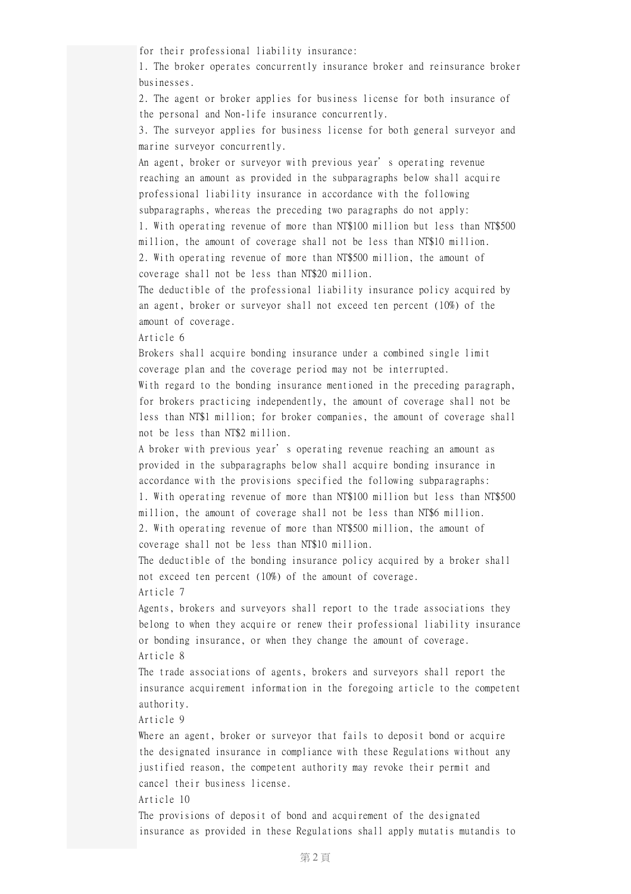for their professional liability insurance:

1. The broker operates concurrently insurance broker and reinsurance broker businesses.

2. The agent or broker applies for business license for both insurance of the personal and Non-life insurance concurrently.

3. The surveyor applies for business license for both general surveyor and marine surveyor concurrently.

An agent, broker or surveyor with previous year's operating revenue reaching an amount as provided in the subparagraphs below shall acquire professional liability insurance in accordance with the following subparagraphs, whereas the preceding two paragraphs do not apply: 1. With operating revenue of more than NT\$100 million but less than NT\$500

million, the amount of coverage shall not be less than NT\$10 million. 2. With operating revenue of more than NT\$500 million, the amount of coverage shall not be less than NT\$20 million.

The deductible of the professional liability insurance policy acquired by an agent, broker or surveyor shall not exceed ten percent (10%) of the amount of coverage.

Article 6

Brokers shall acquire bonding insurance under a combined single limit coverage plan and the coverage period may not be interrupted.

With regard to the bonding insurance mentioned in the preceding paragraph, for brokers practicing independently, the amount of coverage shall not be less than NT\$1 million; for broker companies, the amount of coverage shall not be less than NT\$2 million.

A broker with previous year's operating revenue reaching an amount as provided in the subparagraphs below shall acquire bonding insurance in accordance with the provisions specified the following subparagraphs: 1. With operating revenue of more than NT\$100 million but less than NT\$500 million, the amount of coverage shall not be less than NT\$6 million. 2. With operating revenue of more than NT\$500 million, the amount of

coverage shall not be less than NT\$10 million.

The deductible of the bonding insurance policy acquired by a broker shall not exceed ten percent (10%) of the amount of coverage. Article 7

Agents, brokers and surveyors shall report to the trade associations they belong to when they acquire or renew their professional liability insurance or bonding insurance, or when they change the amount of coverage. Article 8

The trade associations of agents, brokers and surveyors shall report the insurance acquirement information in the foregoing article to the competent authority.

Article 9

Where an agent, broker or surveyor that fails to deposit bond or acquire the designated insurance in compliance with these Regulations without any justified reason, the competent authority may revoke their permit and cancel their business license.

Article 10

The provisions of deposit of bond and acquirement of the designated insurance as provided in these Regulations shall apply mutatis mutandis to